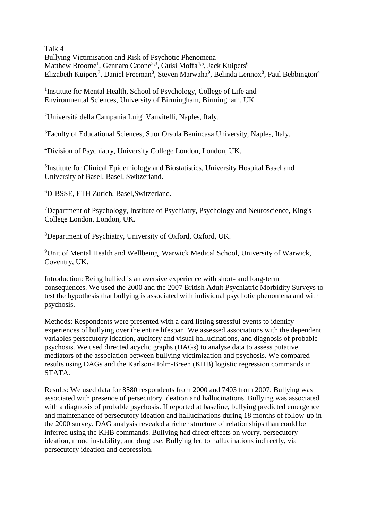Talk 4 Bullying Victimisation and Risk of Psychotic Phenomena Matthew Broome<sup>1</sup>, Gennaro Catone<sup>2,3</sup>, Guisi Moffa<sup>4,5</sup>, Jack Kuipers<sup>6</sup> Elizabeth Kuipers<sup>7</sup>, Daniel Freeman<sup>8</sup>, Steven Marwaha<sup>9</sup>, Belinda Lennox<sup>8</sup>, Paul Bebbington<sup>4</sup>

<sup>1</sup>Institute for Mental Health, School of Psychology, College of Life and Environmental Sciences, University of Birmingham, Birmingham, UK

<sup>2</sup>Università della Campania Luigi Vanvitelli, Naples, Italy.

<sup>3</sup>Faculty of Educational Sciences, Suor Orsola Benincasa University, Naples, Italy.

<sup>4</sup>Division of Psychiatry, University College London, London, UK.

<sup>5</sup>Institute for Clinical Epidemiology and Biostatistics, University Hospital Basel and University of Basel, Basel, Switzerland.

<sup>6</sup>D-BSSE, ETH Zurich, Basel,Switzerland.

<sup>7</sup>Department of Psychology, Institute of Psychiatry, Psychology and Neuroscience, King's College London, London, UK.

<sup>8</sup>Department of Psychiatry, University of Oxford, Oxford, UK.

<sup>9</sup>Unit of Mental Health and Wellbeing, Warwick Medical School, University of Warwick, Coventry, UK.

Introduction: Being bullied is an aversive experience with short- and long-term consequences. We used the 2000 and the 2007 British Adult Psychiatric Morbidity Surveys to test the hypothesis that bullying is associated with individual psychotic phenomena and with psychosis.

Methods: Respondents were presented with a card listing stressful events to identify experiences of bullying over the entire lifespan. We assessed associations with the dependent variables persecutory ideation, auditory and visual hallucinations, and diagnosis of probable psychosis. We used directed acyclic graphs (DAGs) to analyse data to assess putative mediators of the association between bullying victimization and psychosis. We compared results using DAGs and the Karlson-Holm-Breen (KHB) logistic regression commands in STATA.

Results: We used data for 8580 respondents from 2000 and 7403 from 2007. Bullying was associated with presence of persecutory ideation and hallucinations. Bullying was associated with a diagnosis of probable psychosis. If reported at baseline, bullying predicted emergence and maintenance of persecutory ideation and hallucinations during 18 months of follow-up in the 2000 survey. DAG analysis revealed a richer structure of relationships than could be inferred using the KHB commands. Bullying had direct effects on worry, persecutory ideation, mood instability, and drug use. Bullying led to hallucinations indirectly, via persecutory ideation and depression.